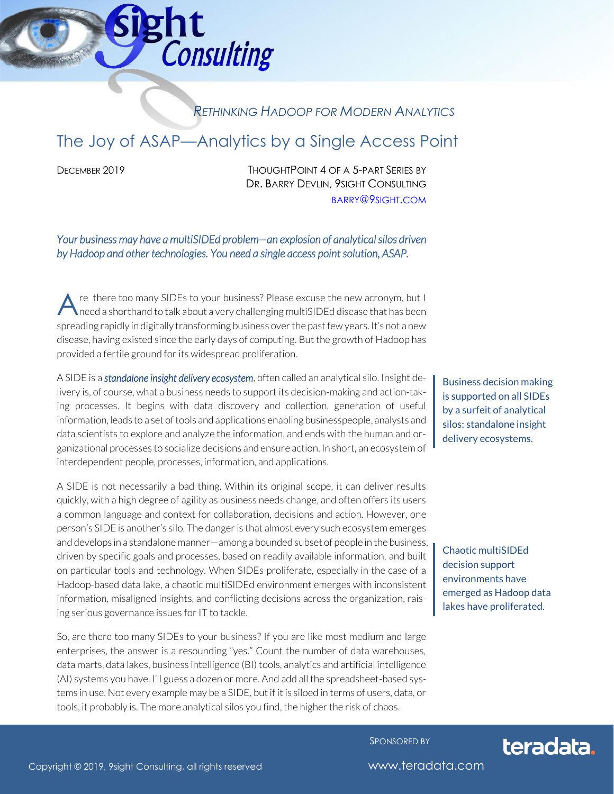# ght **Consulting**

### *RETHINKING HADOOP FOR MODERN ANALYTICS*

# The Joy of ASAP—Analytics by a Single Access Point

DECEMBER 2019 THOUGHTPOINT 4 OF A 5-PART SERIES BY DR. BARRY DEVLIN, 9SIGHT CONSULTING [BARRY](mailto:barry@9sight.com)@9SIGHT.COM

*Your business may have a multiSIDEd problem—an explosion of analytical silos driven by Hadoop and other technologies. You need a single access point solution, ASAP.* 

re there too many SIDEs to your business? Please excuse the new acronym, but I need a shorthand to talk about a very challenging multiSIDEd disease that has been spreading rapidly in digitally transforming business over the past few years. It's not a new disease, having existed since the early days of computing. But the growth of Hadoop has provided a fertile ground for its widespread proliferation. A

A SIDE is a *standalone insight delivery ecosystem*, often called an analytical silo. Insight delivery is, of course, what a business needs to support its decision-making and action-taking processes. It begins with data discovery and collection, generation of useful information, leads to a set of tools and applications enabling businesspeople, analysts and data scientists to explore and analyze the information, and ends with the human and organizational processes to socialize decisions and ensure action. In short, an ecosystem of interdependent people, processes, information, and applications.

A SIDE is not necessarily a bad thing. Within its original scope, it can deliver results quickly, with a high degree of agility as business needs change, and often offers its users a common language and context for collaboration, decisions and action. However, one person's SIDE is another's silo. The danger is that almost every such ecosystem emerges and develops in a standalone manner—among a bounded subset of people in the business, driven by specific goals and processes, based on readily available information, and built on particular tools and technology. When SIDEs proliferate, especially in the case of a Hadoop-based data lake, a chaotic multiSIDEd environment emerges with inconsistent information, misaligned insights, and conflicting decisions across the organization, raising serious governance issues for IT to tackle.

So, are there too many SIDEs to your business? If you are like most medium and large enterprises, the answer is a resounding "yes." Count the number of data warehouses, data marts, data lakes, business intelligence (BI) tools, analytics and artificial intelligence (AI) systems you have. I'll guess a dozen or more. And add all the spreadsheet-based systems in use. Not every example may be a SIDE, but if it is siloed in terms of users, data, or tools, it probably is. The more analytical silos you find, the higher the risk of chaos.

Business decision making is supported on all SIDEs by a surfeit of analytical silos: standalone insight delivery ecosystems.

Chaotic multiSIDEd decision support environments have emerged as Hadoop data lakes have proliferated.

SPONSORED BY



Copyright © 2019, 9sight Consulting, all rights reserved www.teradata.com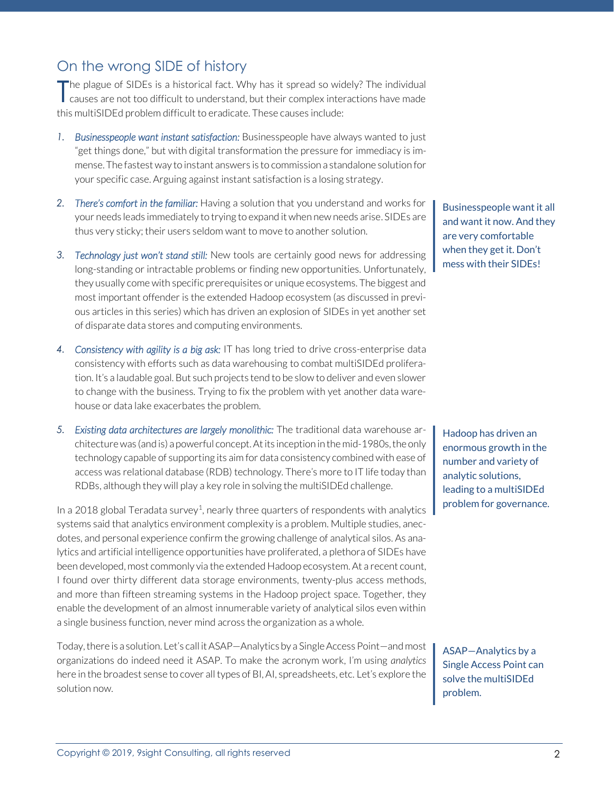## On the wrong SIDE of history

he plague of SIDEs is a historical fact. Why has it spread so widely? The individual The plague of SIDEs is a historical fact. Why has it spread so widely? The individual causes are not too difficult to understand, but their complex interactions have made this multiSIDEd problem difficult to eradicate. These causes include:

- *1. Businesspeople want instant satisfaction:* Businesspeople have always wanted to just "get things done," but with digital transformation the pressure for immediacy is immense. The fastest way to instant answers is to commission a standalone solution for your specific case. Arguing against instant satisfaction is a losing strategy.
- *2. There's comfort in the familiar:* Having a solution that you understand and works for your needs leads immediately to trying to expand it when new needs arise. SIDEs are thus very sticky; their users seldom want to move to another solution.
- *3. Technology just won't stand still:* New tools are certainly good news for addressing long-standing or intractable problems or finding new opportunities. Unfortunately, they usually come with specific prerequisites or unique ecosystems. The biggest and most important offender is the extended Hadoop ecosystem (as discussed in previous articles in this series) which has driven an explosion of SIDEs in yet another set of disparate data stores and computing environments.
- *4. Consistency with agility is a big ask:* IT has long tried to drive cross-enterprise data consistency with efforts such as data warehousing to combat multiSIDEd proliferation. It's a laudable goal. But such projects tend to be slow to deliver and even slower to change with the business. Trying to fix the problem with yet another data warehouse or data lake exacerbates the problem.
- *5. Existing data architectures are largely monolithic:* The traditional data warehouse architecture was (and is) a powerful concept.At its inception in the mid-1980s, the only technology capable of supporting its aim for data consistency combined with ease of access was relational database (RDB) technology. There's more to IT life today than RDBs, although they will play a key role in solving the multiSIDEd challenge.

In a 2018 global Teradata survey<sup>1</sup>, nearly three quarters of respondents with analytics systems said that analytics environment complexity is a problem. Multiple studies, anecdotes, and personal experience confirm the growing challenge of analytical silos. As analytics and artificial intelligence opportunities have proliferated, a plethora of SIDEs have been developed, most commonly via the extended Hadoop ecosystem. At a recent count, I found over thirty different data storage environments, twenty-plus access methods, and more than fifteen streaming systems in the Hadoop project space. Together, they enable the development of an almost innumerable variety of analytical silos even within a single business function, never mind across the organization as a whole.

Today, there is a solution. Let's call it ASAP—Analytics by a Single Access Point—and most organizations do indeed need it ASAP. To make the acronym work, I'm using *analytics* here in the broadest sense to cover all types of BI, AI, spreadsheets, etc. Let's explore the solution now.

Businesspeople want it all and want it now. And they are very comfortable when they get it. Don't mess with their SIDEs!

Hadoop has driven an enormous growth in the number and variety of analytic solutions, leading to a multiSIDEd problem for governance.

ASAP—Analytics by a Single Access Point can solve the multiSIDEd problem.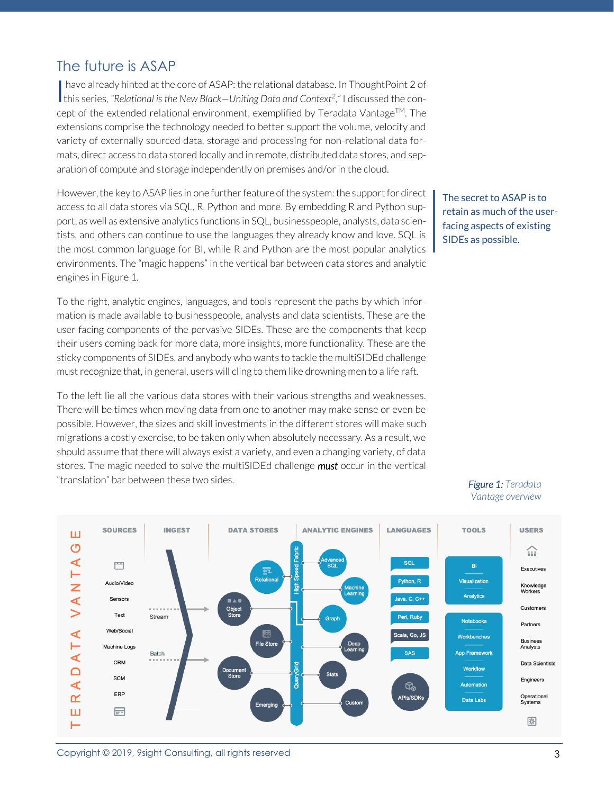### The future is ASAP

have already hinted at the core of ASAP: the relational database. In ThoughtPoint 2 of I have already hinted at the core of ASAP: the relational database. In ThoughtPoint 2 of this series, "Relational is the New Black–Uniting Data and Context<sup>2</sup>," I discussed the concept of the extended relational environment, exemplified by Teradata Vantage<sup>TM</sup>. The extensions comprise the technology needed to better support the volume, velocity and variety of externally sourced data, storage and processing for non-relational data formats, direct access to data stored locally and in remote, distributed data stores, and separation of compute and storage independently on premises and/or in the cloud.

However, the key to ASAP lies in one further feature of the system: the support for direct access to all data stores via SQL, R, Python and more. By embedding R and Python support, as well as extensive analytics functions in SQL, businesspeople, analysts, data scientists, and others can continue to use the languages they already know and love. SQL is the most common language for BI, while R and Python are the most popular analytics environments. The "magic happens" in the vertical bar between data stores and analytic engines in Figure 1.

To the right, analytic engines, languages, and tools represent the paths by which information is made available to businesspeople, analysts and data scientists. These are the user facing components of the pervasive SIDEs. These are the components that keep their users coming back for more data, more insights, more functionality. These are the sticky components of SIDEs, and anybody who wants to tackle the multiSIDEd challenge must recognize that, in general, users will cling to them like drowning men to a life raft.

To the left lie all the various data stores with their various strengths and weaknesses. There will be times when moving data from one to another may make sense or even be possible. However, the sizes and skill investments in the different stores will make such migrations a costly exercise, to be taken only when absolutely necessary. As a result, we should assume that there will always exist a variety, and even a changing variety, of data stores. The magic needed to solve the multiSIDEd challenge *must* occur in the vertical "translation" bar between these two sides.

The secret to ASAP is to retain as much of the userfacing aspects of existing SIDEs as possible.



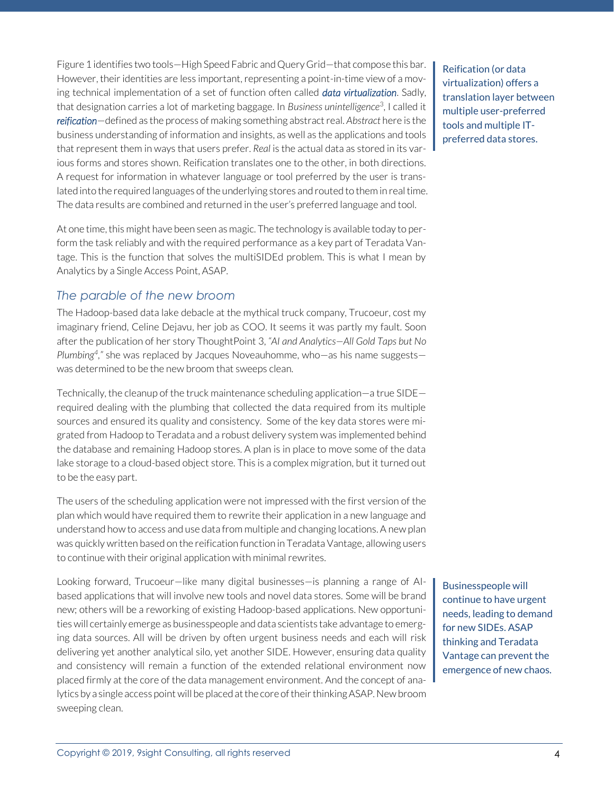Figure 1 identifies two tools—High Speed Fabric and Query Grid—that compose this bar. However, their identities are less important, representing a point-in-time view of a moving technical implementation of a set of function often called *data virtualization*. Sadly, that designation carries a lot of marketing baggage. In Business unintelligence<sup>3</sup>, I called it *reification*—defined as the process of making something abstract real. *Abstract* here is the business understanding of information and insights, as well as the applications and tools that represent them in ways that users prefer. *Real* is the actual data as stored in its various forms and stores shown. Reification translates one to the other, in both directions. A request for information in whatever language or tool preferred by the user is translated into the required languages of the underlying stores and routed to them in real time. The data results are combined and returned in the user's preferred language and tool.

At one time, this might have been seen as magic. The technology is available today to perform the task reliably and with the required performance as a key part of Teradata Vantage. This is the function that solves the multiSIDEd problem. This is what I mean by Analytics by a Single Access Point, ASAP.

#### *The parable of the new broom*

The Hadoop-based data lake debacle at the mythical truck company, Trucoeur, cost my imaginary friend, Celine Dejavu, her job as COO. It seems it was partly my fault. Soon after the publication of her story ThoughtPoint 3, *"AI and Analytics—All Gold Taps but No Plumbing<sup>4</sup> ,"* she was replaced by Jacques Noveauhomme, who—as his name suggests was determined to be the new broom that sweeps clean.

Technically, the cleanup of the truck maintenance scheduling application—a true SIDE required dealing with the plumbing that collected the data required from its multiple sources and ensured its quality and consistency. Some of the key data stores were migrated from Hadoop to Teradata and a robust delivery system was implemented behind the database and remaining Hadoop stores. A plan is in place to move some of the data lake storage to a cloud-based object store. This is a complex migration, but it turned out to be the easy part.

The users of the scheduling application were not impressed with the first version of the plan which would have required them to rewrite their application in a new language and understand how to access and use data from multiple and changing locations. A new plan was quickly written based on the reification function in Teradata Vantage, allowing users to continue with their original application with minimal rewrites.

Looking forward, Trucoeur—like many digital businesses—is planning a range of AIbased applications that will involve new tools and novel data stores. Some will be brand new; others will be a reworking of existing Hadoop-based applications. New opportunities will certainly emerge as businesspeople and data scientists take advantage to emerging data sources. All will be driven by often urgent business needs and each will risk delivering yet another analytical silo, yet another SIDE. However, ensuring data quality and consistency will remain a function of the extended relational environment now placed firmly at the core of the data management environment. And the concept of analytics by a single access point will be placed at the core of their thinking ASAP. New broom sweeping clean.

Reification (or data virtualization) offers a translation layer between multiple user-preferred tools and multiple ITpreferred data stores.

Businesspeople will continue to have urgent needs, leading to demand for new SIDEs. ASAP thinking and Teradata Vantage can prevent the emergence of new chaos.